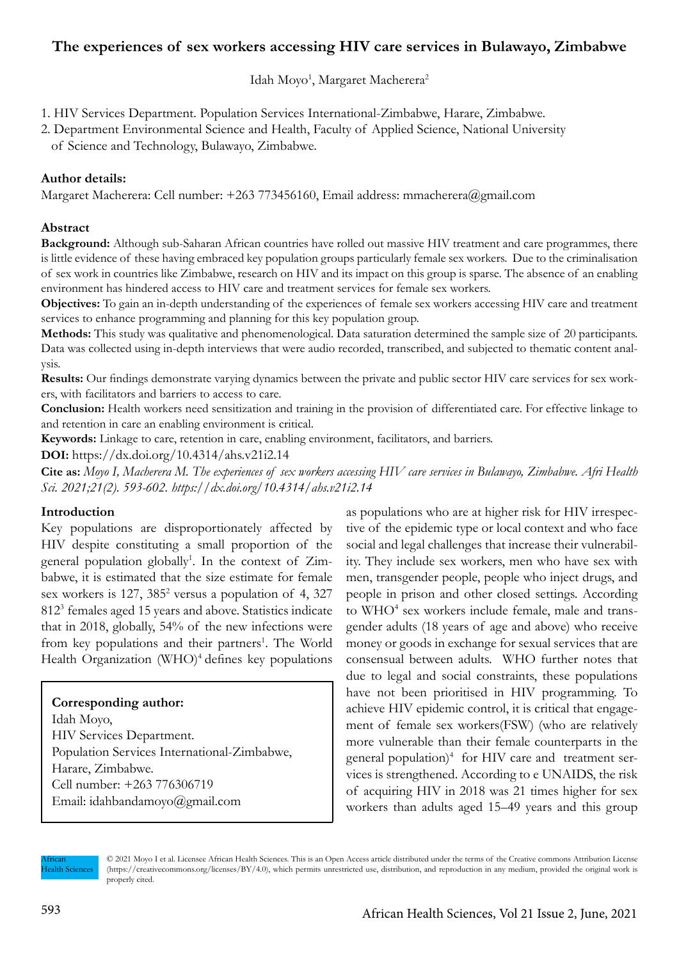# **The experiences of sex workers accessing HIV care services in Bulawayo, Zimbabwe**

Idah Moyo<sup>1</sup>, Margaret Macherera<sup>2</sup>

1. HIV Services Department. Population Services International-Zimbabwe, Harare, Zimbabwe.

2. Department Environmental Science and Health, Faculty of Applied Science, National University of Science and Technology, Bulawayo, Zimbabwe.

## **Author details:**

Margaret Macherera: Cell number: +263 773456160, Email address: mmacherera@gmail.com

### **Abstract**

**Background:** Although sub-Saharan African countries have rolled out massive HIV treatment and care programmes, there is little evidence of these having embraced key population groups particularly female sex workers. Due to the criminalisation of sex work in countries like Zimbabwe, research on HIV and its impact on this group is sparse. The absence of an enabling environment has hindered access to HIV care and treatment services for female sex workers.

**Objectives:** To gain an in-depth understanding of the experiences of female sex workers accessing HIV care and treatment services to enhance programming and planning for this key population group.

**Methods:** This study was qualitative and phenomenological. Data saturation determined the sample size of 20 participants. Data was collected using in-depth interviews that were audio recorded, transcribed, and subjected to thematic content analysis.

Results: Our findings demonstrate varying dynamics between the private and public sector HIV care services for sex workers, with facilitators and barriers to access to care.

**Conclusion:** Health workers need sensitization and training in the provision of differentiated care. For effective linkage to and retention in care an enabling environment is critical.

**Keywords:** Linkage to care, retention in care, enabling environment, facilitators, and barriers.

**DOI:** https://dx.doi.org/10.4314/ahs.v21i2.14

**Cite as:** *Moyo I, Macherera M. The experiences of sex workers accessing HIV care services in Bulawayo, Zimbabwe. Afri Health Sci. 2021;21(2). 593-602. https://dx.doi.org/10.4314/ahs.v21i2.14*

### **Introduction**

Key populations are disproportionately affected by HIV despite constituting a small proportion of the general population globally<sup>1</sup>. In the context of Zimbabwe, it is estimated that the size estimate for female sex workers is 127, 385<sup>2</sup> versus a population of 4, 327 8123 females aged 15 years and above. Statistics indicate that in 2018, globally, 54% of the new infections were from key populations and their partners<sup>1</sup>. The World Health Organization  $(WHO)^4$  defines key populations

**Corresponding author:** Idah Moyo, HIV Services Department. Population Services International-Zimbabwe, Harare, Zimbabwe. Cell number: +263 776306719 Email: idahbandamoyo@gmail.com

as populations who are at higher risk for HIV irrespective of the epidemic type or local context and who face social and legal challenges that increase their vulnerability. They include sex workers, men who have sex with men, transgender people, people who inject drugs, and people in prison and other closed settings. According to WHO<sup>4</sup> sex workers include female, male and transgender adults (18 years of age and above) who receive money or goods in exchange for sexual services that are consensual between adults. WHO further notes that due to legal and social constraints, these populations have not been prioritised in HIV programming. To achieve HIV epidemic control, it is critical that engagement of female sex workers(FSW) (who are relatively more vulnerable than their female counterparts in the general population)<sup>4</sup> for HIV care and treatment services is strengthened. According to e UNAIDS, the risk of acquiring HIV in 2018 was 21 times higher for sex workers than adults aged 15–49 years and this group

African lealth Sciences © 2021 Moyo I et al. Licensee African Health Sciences. This is an Open Access article distributed under the terms of the Creative commons Attribution License (https://creativecommons.org/licenses/BY/4.0), which permits unrestricted use, distribution, and reproduction in any medium, provided the original work is properly cited.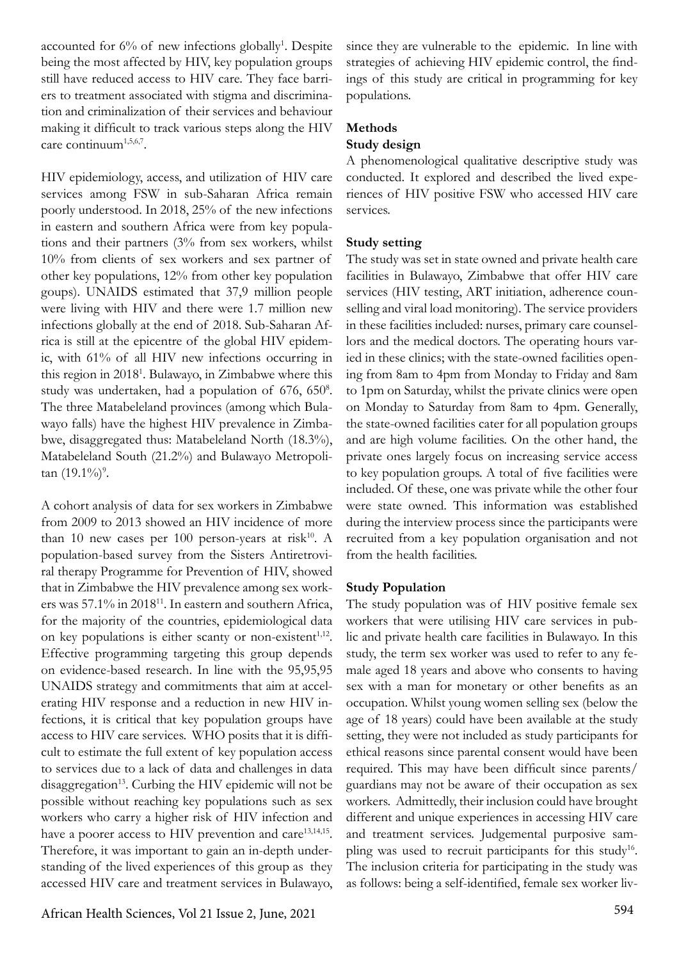accounted for 6% of new infections globally<sup>1</sup>. Despite being the most affected by HIV, key population groups still have reduced access to HIV care. They face barriers to treatment associated with stigma and discrimination and criminalization of their services and behaviour making it difficult to track various steps along the HIV care continuum<sup>1,5,6,7</sup>.

HIV epidemiology, access, and utilization of HIV care services among FSW in sub-Saharan Africa remain poorly understood. In 2018, 25% of the new infections in eastern and southern Africa were from key populations and their partners (3% from sex workers, whilst 10% from clients of sex workers and sex partner of other key populations, 12% from other key population goups). UNAIDS estimated that 37,9 million people were living with HIV and there were 1.7 million new infections globally at the end of 2018. Sub-Saharan Africa is still at the epicentre of the global HIV epidemic, with 61% of all HIV new infections occurring in this region in 20181 . Bulawayo, in Zimbabwe where this study was undertaken, had a population of 676, 650<sup>8</sup>. The three Matabeleland provinces (among which Bulawayo falls) have the highest HIV prevalence in Zimbabwe, disaggregated thus: Matabeleland North (18.3%), Matabeleland South (21.2%) and Bulawayo Metropoli $tan(19.1\%)$ <sup>9</sup>.

A cohort analysis of data for sex workers in Zimbabwe from 2009 to 2013 showed an HIV incidence of more than 10 new cases per 100 person-years at risk<sup>10</sup>. A population-based survey from the Sisters Antiretroviral therapy Programme for Prevention of HIV, showed that in Zimbabwe the HIV prevalence among sex workers was 57.1% in 2018<sup>11</sup>. In eastern and southern Africa, for the majority of the countries, epidemiological data on key populations is either scanty or non-existent $1,12$ . Effective programming targeting this group depends on evidence-based research. In line with the 95,95,95 UNAIDS strategy and commitments that aim at accelerating HIV response and a reduction in new HIV infections, it is critical that key population groups have access to HIV care services. WHO posits that it is difficult to estimate the full extent of key population access to services due to a lack of data and challenges in data  $disaggregation<sup>13</sup>$ . Curbing the HIV epidemic will not be possible without reaching key populations such as sex workers who carry a higher risk of HIV infection and have a poorer access to HIV prevention and care<sup>13,14,15</sup>. Therefore, it was important to gain an in-depth understanding of the lived experiences of this group as they accessed HIV care and treatment services in Bulawayo,

since they are vulnerable to the epidemic. In line with strategies of achieving HIV epidemic control, the findings of this study are critical in programming for key populations.

## **Methods**

## **Study design**

A phenomenological qualitative descriptive study was conducted. It explored and described the lived experiences of HIV positive FSW who accessed HIV care services.

# **Study setting**

The study was set in state owned and private health care facilities in Bulawayo, Zimbabwe that offer HIV care services (HIV testing, ART initiation, adherence counselling and viral load monitoring). The service providers in these facilities included: nurses, primary care counsellors and the medical doctors. The operating hours varied in these clinics; with the state-owned facilities opening from 8am to 4pm from Monday to Friday and 8am to 1pm on Saturday, whilst the private clinics were open on Monday to Saturday from 8am to 4pm. Generally, the state-owned facilities cater for all population groups and are high volume facilities. On the other hand, the private ones largely focus on increasing service access to key population groups. A total of five facilities were included. Of these, one was private while the other four were state owned. This information was established during the interview process since the participants were recruited from a key population organisation and not from the health facilities.

### **Study Population**

The study population was of HIV positive female sex workers that were utilising HIV care services in public and private health care facilities in Bulawayo. In this study, the term sex worker was used to refer to any female aged 18 years and above who consents to having sex with a man for monetary or other benefits as an occupation. Whilst young women selling sex (below the age of 18 years) could have been available at the study setting, they were not included as study participants for ethical reasons since parental consent would have been required. This may have been difficult since parents/ guardians may not be aware of their occupation as sex workers. Admittedly, their inclusion could have brought different and unique experiences in accessing HIV care and treatment services. Judgemental purposive sampling was used to recruit participants for this study<sup>16</sup>. The inclusion criteria for participating in the study was as follows: being a self-identified, female sex worker liv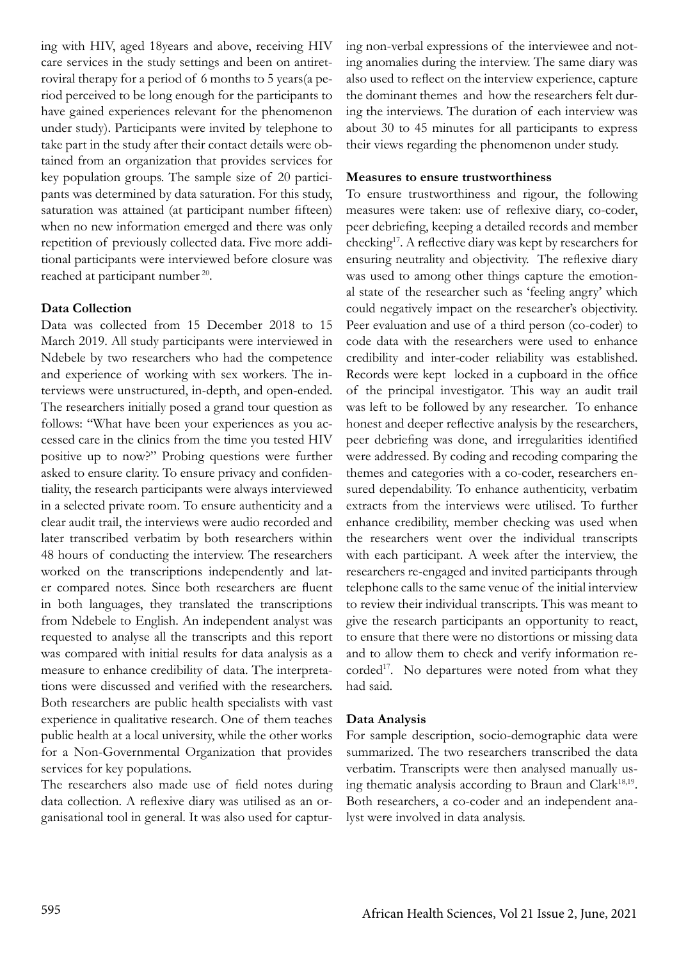ing with HIV, aged 18years and above, receiving HIV care services in the study settings and been on antiretroviral therapy for a period of 6 months to 5 years(a period perceived to be long enough for the participants to have gained experiences relevant for the phenomenon under study). Participants were invited by telephone to take part in the study after their contact details were obtained from an organization that provides services for key population groups. The sample size of 20 participants was determined by data saturation. For this study, saturation was attained (at participant number fifteen) when no new information emerged and there was only repetition of previously collected data. Five more additional participants were interviewed before closure was reached at participant number 20.

### **Data Collection**

Data was collected from 15 December 2018 to 15 March 2019. All study participants were interviewed in Ndebele by two researchers who had the competence and experience of working with sex workers. The interviews were unstructured, in-depth, and open-ended. The researchers initially posed a grand tour question as follows: "What have been your experiences as you accessed care in the clinics from the time you tested HIV positive up to now?" Probing questions were further asked to ensure clarity. To ensure privacy and confidentiality, the research participants were always interviewed in a selected private room. To ensure authenticity and a clear audit trail, the interviews were audio recorded and later transcribed verbatim by both researchers within 48 hours of conducting the interview. The researchers worked on the transcriptions independently and later compared notes. Since both researchers are fluent in both languages, they translated the transcriptions from Ndebele to English. An independent analyst was requested to analyse all the transcripts and this report was compared with initial results for data analysis as a measure to enhance credibility of data. The interpretations were discussed and verified with the researchers. Both researchers are public health specialists with vast experience in qualitative research. One of them teaches public health at a local university, while the other works for a Non-Governmental Organization that provides services for key populations.

The researchers also made use of field notes during data collection. A reflexive diary was utilised as an organisational tool in general. It was also used for capturing non-verbal expressions of the interviewee and noting anomalies during the interview. The same diary was also used to reflect on the interview experience, capture the dominant themes and how the researchers felt during the interviews. The duration of each interview was about 30 to 45 minutes for all participants to express their views regarding the phenomenon under study.

### **Measures to ensure trustworthiness**

To ensure trustworthiness and rigour, the following measures were taken: use of reflexive diary, co-coder, peer debriefing, keeping a detailed records and member checking17. A reflective diary was kept by researchers for ensuring neutrality and objectivity. The reflexive diary was used to among other things capture the emotional state of the researcher such as 'feeling angry' which could negatively impact on the researcher's objectivity. Peer evaluation and use of a third person (co-coder) to code data with the researchers were used to enhance credibility and inter-coder reliability was established. Records were kept locked in a cupboard in the office of the principal investigator. This way an audit trail was left to be followed by any researcher. To enhance honest and deeper reflective analysis by the researchers, peer debriefing was done, and irregularities identified were addressed. By coding and recoding comparing the themes and categories with a co-coder, researchers ensured dependability. To enhance authenticity, verbatim extracts from the interviews were utilised. To further enhance credibility, member checking was used when the researchers went over the individual transcripts with each participant. A week after the interview, the researchers re-engaged and invited participants through telephone calls to the same venue of the initial interview to review their individual transcripts. This was meant to give the research participants an opportunity to react, to ensure that there were no distortions or missing data and to allow them to check and verify information recorded<sup>17</sup>. No departures were noted from what they had said.

### **Data Analysis**

For sample description, socio-demographic data were summarized. The two researchers transcribed the data verbatim. Transcripts were then analysed manually using thematic analysis according to Braun and Clark<sup>18,19</sup>. Both researchers, a co-coder and an independent analyst were involved in data analysis.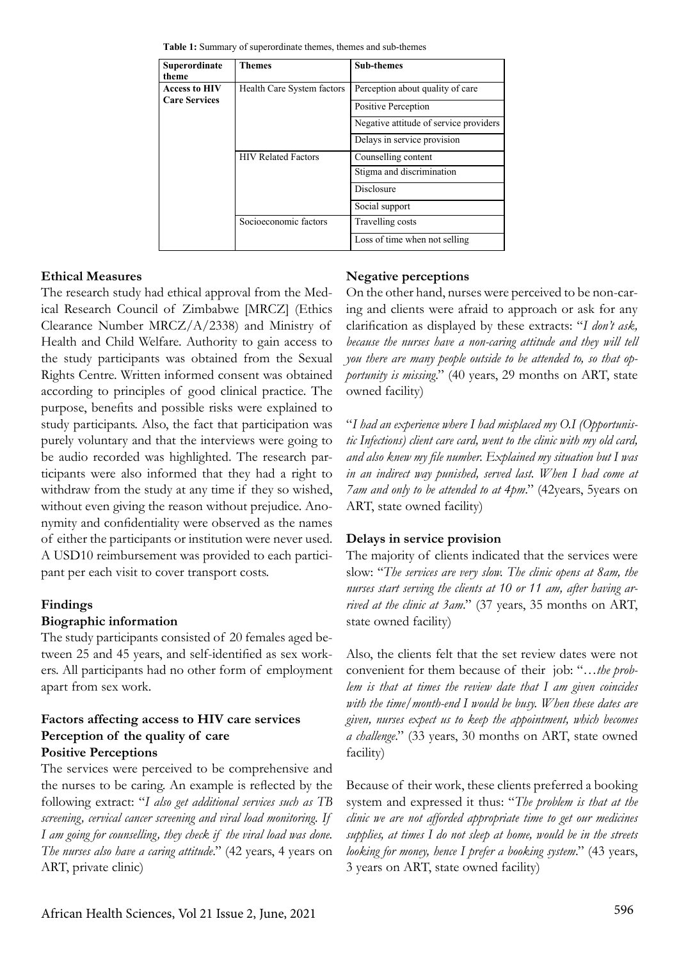| Superordinate<br>theme                       | Themes                     | <b>Sub-themes</b>                      |
|----------------------------------------------|----------------------------|----------------------------------------|
| <b>Access to HIV</b><br><b>Care Services</b> | Health Care System factors | Perception about quality of care       |
|                                              |                            | Positive Perception                    |
|                                              |                            | Negative attitude of service providers |
|                                              |                            | Delays in service provision            |
|                                              | <b>HIV Related Factors</b> | Counselling content                    |
|                                              |                            | Stigma and discrimination              |
|                                              |                            | Disclosure                             |
|                                              |                            | Social support                         |
|                                              | Socioeconomic factors      | Travelling costs                       |
|                                              |                            | Loss of time when not selling          |

**Table 1:** Summary of superordinate themes, themes and sub-themes

#### **Ethical Measures**

The research study had ethical approval from the Medical Research Council of Zimbabwe [MRCZ] (Ethics Clearance Number MRCZ/A/2338) and Ministry of Health and Child Welfare. Authority to gain access to the study participants was obtained from the Sexual Rights Centre. Written informed consent was obtained according to principles of good clinical practice. The purpose, benefits and possible risks were explained to study participants. Also, the fact that participation was purely voluntary and that the interviews were going to be audio recorded was highlighted. The research participants were also informed that they had a right to withdraw from the study at any time if they so wished, without even giving the reason without prejudice. Anonymity and confidentiality were observed as the names of either the participants or institution were never used. A USD10 reimbursement was provided to each participant per each visit to cover transport costs.

### **Findings**

### **Biographic information**

The study participants consisted of 20 females aged between 25 and 45 years, and self-identified as sex workers. All participants had no other form of employment apart from sex work.

## **Factors affecting access to HIV care services Perception of the quality of care Positive Perceptions**

The services were perceived to be comprehensive and the nurses to be caring. An example is reflected by the following extract: "*I also get additional services such as TB screening, cervical cancer screening and viral load monitoring. If I am going for counselling, they check if the viral load was done. The nurses also have a caring attitude*." (42 years, 4 years on ART, private clinic)

#### **Negative perceptions**

On the other hand, nurses were perceived to be non-caring and clients were afraid to approach or ask for any clarification as displayed by these extracts: "*I don't ask,*  because the nurses have a non-caring attitude and they will tell *you there are many people outside to be attended to, so that opportunity is missing*." (40 years, 29 months on ART, state owned facility)

"*I had an experience where I had misplaced my O.I (Opportunistic Infections) client care card, went to the clinic with my old card, and also knew my file number. Explained my situation but I was in an indirect way punished, served last. When I had come at 7am and only to be attended to at 4pm*." (42years, 5years on ART, state owned facility)

### **Delays in service provision**

The majority of clients indicated that the services were slow: ''*The services are very slow. The clinic opens at 8am, the nurses start serving the clients at 10 or 11 am, after having arrived at the clinic at 3am*." (37 years, 35 months on ART, state owned facility)

Also, the clients felt that the set review dates were not convenient for them because of their job: "*…the problem is that at times the review date that I am given coincides with the time/month-end I would be busy. When these dates are given, nurses expect us to keep the appointment, which becomes a challenge*." (33 years, 30 months on ART, state owned facility)

Because of their work, these clients preferred a booking system and expressed it thus: "*The problem is that at the clinic we are not afforded appropriate time to get our medicines supplies, at times I do not sleep at home, would be in the streets looking for money, hence I prefer a booking system*." (43 years, 3 years on ART, state owned facility)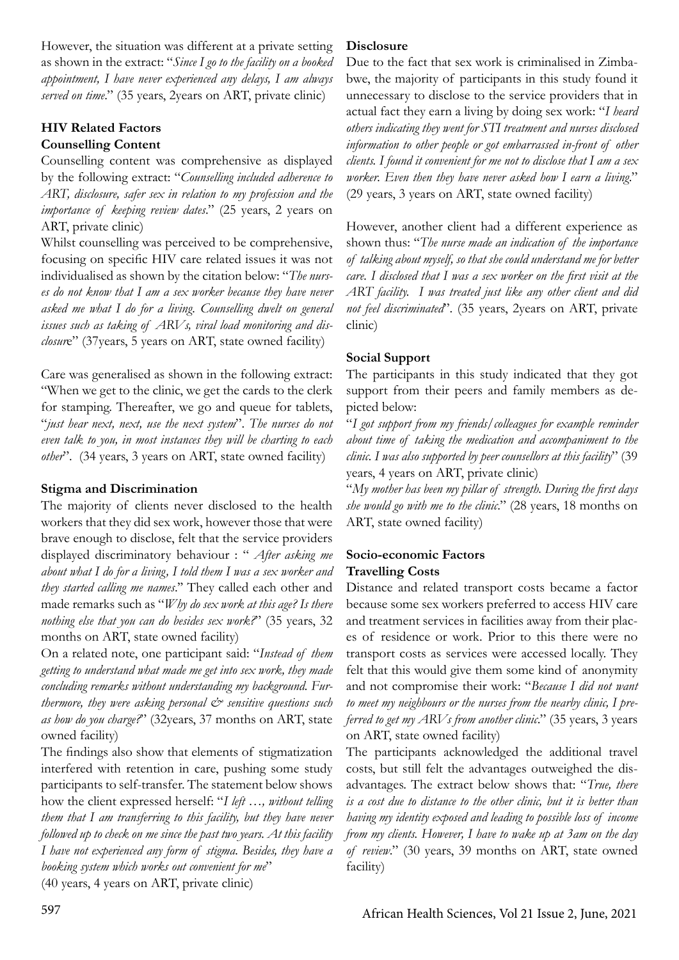However, the situation was different at a private setting as shown in the extract: "*Since I go to the facility on a booked appointment, I have never experienced any delays, I am always served on time*." (35 years, 2years on ART, private clinic)

# **HIV Related Factors Counselling Content**

Counselling content was comprehensive as displayed by the following extract: "*Counselling included adherence to ART, disclosure, safer sex in relation to my profession and the importance of keeping review dates*." (25 years, 2 years on ART, private clinic)

Whilst counselling was perceived to be comprehensive, focusing on specific HIV care related issues it was not individualised as shown by the citation below: "*The nurses do not know that I am a sex worker because they have never asked me what I do for a living. Counselling dwelt on general issues such as taking of ARVs, viral load monitoring and disclosur*e" (37years, 5 years on ART, state owned facility)

Care was generalised as shown in the following extract: "When we get to the clinic, we get the cards to the clerk for stamping. Thereafter, we go and queue for tablets, "*just hear next, next, use the next system*". *The nurses do not even talk to you, in most instances they will be charting to each other*". (34 years, 3 years on ART, state owned facility)

# **Stigma and Discrimination**

The majority of clients never disclosed to the health workers that they did sex work, however those that were brave enough to disclose, felt that the service providers displayed discriminatory behaviour : " *After asking me about what I do for a living, I told them I was a sex worker and they started calling me names*.'' They called each other and made remarks such as "*Why do sex work at this age? Is there nothing else that you can do besides sex work?*" (35 years, 32 months on ART, state owned facility)

On a related note, one participant said: "*Instead of them getting to understand what made me get into sex work, they made concluding remarks without understanding my background. Furthermore, they were asking personal*  $\breve{c}$  *sensitive questions such as how do you charge?*" (32years, 37 months on ART, state owned facility)

The findings also show that elements of stigmatization interfered with retention in care, pushing some study participants to self-transfer. The statement below shows how the client expressed herself: "*I left …, without telling them that I am transferring to this facility, but they have never followed up to check on me since the past two years. At this facility I have not experienced any form of stigma. Besides, they have a booking system which works out convenient for me*"

(40 years, 4 years on ART, private clinic)

## **Disclosure**

Due to the fact that sex work is criminalised in Zimbabwe, the majority of participants in this study found it unnecessary to disclose to the service providers that in actual fact they earn a living by doing sex work: "*I heard others indicating they went for STI treatment and nurses disclosed information to other people or got embarrassed in-front of other clients. I found it convenient for me not to disclose that I am a sex worker. Even then they have never asked how I earn a living*." (29 years, 3 years on ART, state owned facility)

However, another client had a different experience as shown thus: ''*The nurse made an indication of the importance of talking about myself, so that she could understand me for better care. I disclosed that I was a sex worker on the first visit at the ART facility. I was treated just like any other client and did not feel discriminated*". (35 years, 2years on ART, private clinic)

# **Social Support**

The participants in this study indicated that they got support from their peers and family members as depicted below:

"*I got support from my friends/colleagues for example reminder about time of taking the medication and accompaniment to the clinic. I was also supported by peer counsellors at this facility*" (39 years, 4 years on ART, private clinic)

"*My mother has been my pillar of strength. During the first days she would go with me to the clinic*." (28 years, 18 months on ART, state owned facility)

### **Socio-economic Factors Travelling Costs**

Distance and related transport costs became a factor because some sex workers preferred to access HIV care and treatment services in facilities away from their places of residence or work. Prior to this there were no transport costs as services were accessed locally. They felt that this would give them some kind of anonymity and not compromise their work: "*Because I did not want to meet my neighbours or the nurses from the nearby clinic, I preferred to get my ARVs from another clinic*." (35 years, 3 years on ART, state owned facility)

The participants acknowledged the additional travel costs, but still felt the advantages outweighed the disadvantages. The extract below shows that: "*True, there is a cost due to distance to the other clinic, but it is better than having my identity exposed and leading to possible loss of income from my clients. However, I have to wake up at 3am on the day of review*." (30 years, 39 months on ART, state owned facility)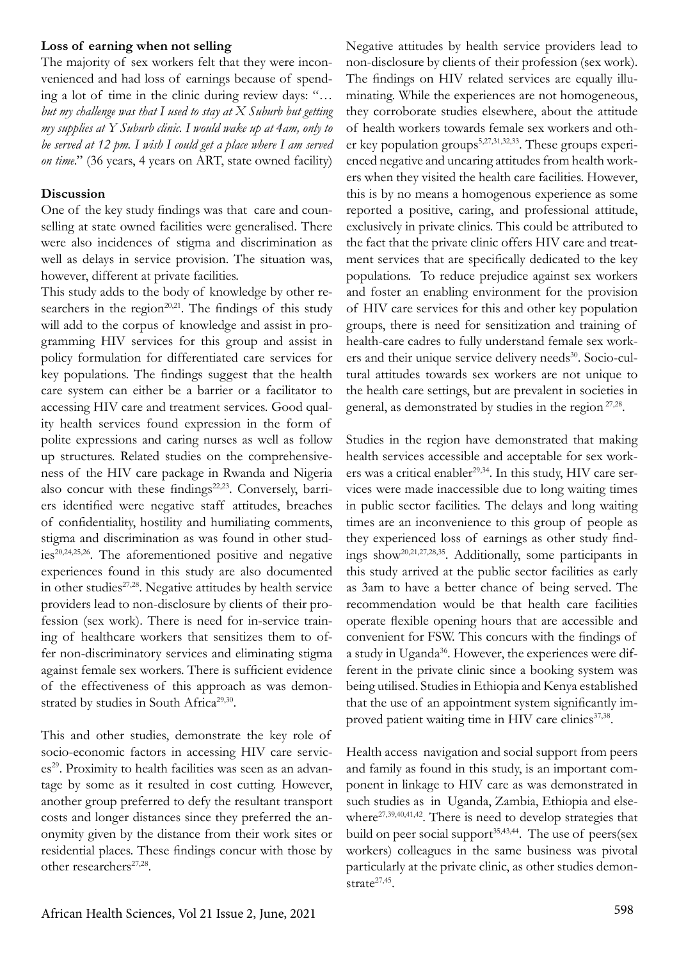## **Loss of earning when not selling**

The majority of sex workers felt that they were inconvenienced and had loss of earnings because of spending a lot of time in the clinic during review days: "*… but my challenge was that I used to stay at X Suburb but getting my supplies at Y Suburb clinic. I would wake up at 4am, only to be served at 12 pm. I wish I could get a place where I am served on time*." (36 years, 4 years on ART, state owned facility)

### **Discussion**

One of the key study findings was that care and counselling at state owned facilities were generalised. There were also incidences of stigma and discrimination as well as delays in service provision. The situation was, however, different at private facilities.

This study adds to the body of knowledge by other researchers in the region<sup> $20,21$ </sup>. The findings of this study will add to the corpus of knowledge and assist in programming HIV services for this group and assist in policy formulation for differentiated care services for key populations. The findings suggest that the health care system can either be a barrier or a facilitator to accessing HIV care and treatment services. Good quality health services found expression in the form of polite expressions and caring nurses as well as follow up structures. Related studies on the comprehensiveness of the HIV care package in Rwanda and Nigeria also concur with these findings<sup>22,23</sup>. Conversely, barriers identified were negative staff attitudes, breaches of confidentiality, hostility and humiliating comments, stigma and discrimination as was found in other studies20,24,25,26. The aforementioned positive and negative experiences found in this study are also documented in other studies<sup>27,28</sup>. Negative attitudes by health service providers lead to non-disclosure by clients of their profession (sex work). There is need for in-service training of healthcare workers that sensitizes them to offer non-discriminatory services and eliminating stigma against female sex workers. There is sufficient evidence of the effectiveness of this approach as was demonstrated by studies in South Africa<sup>29,30</sup>.

This and other studies, demonstrate the key role of socio-economic factors in accessing HIV care services<sup>29</sup>. Proximity to health facilities was seen as an advantage by some as it resulted in cost cutting. However, another group preferred to defy the resultant transport costs and longer distances since they preferred the anonymity given by the distance from their work sites or residential places. These findings concur with those by other researchers<sup>27,28</sup>.

Negative attitudes by health service providers lead to non-disclosure by clients of their profession (sex work). The findings on HIV related services are equally illuminating. While the experiences are not homogeneous, they corroborate studies elsewhere, about the attitude of health workers towards female sex workers and other key population groups<sup>5,27,31,32,33</sup>. These groups experienced negative and uncaring attitudes from health workers when they visited the health care facilities. However, this is by no means a homogenous experience as some reported a positive, caring, and professional attitude, exclusively in private clinics. This could be attributed to the fact that the private clinic offers HIV care and treatment services that are specifically dedicated to the key populations. To reduce prejudice against sex workers and foster an enabling environment for the provision of HIV care services for this and other key population groups, there is need for sensitization and training of health-care cadres to fully understand female sex workers and their unique service delivery needs<sup>30</sup>. Socio-cultural attitudes towards sex workers are not unique to the health care settings, but are prevalent in societies in general, as demonstrated by studies in the region 27,28.

Studies in the region have demonstrated that making health services accessible and acceptable for sex workers was a critical enabler<sup>29,34</sup>. In this study, HIV care services were made inaccessible due to long waiting times in public sector facilities. The delays and long waiting times are an inconvenience to this group of people as they experienced loss of earnings as other study findings show20,21,27,28,35. Additionally, some participants in this study arrived at the public sector facilities as early as 3am to have a better chance of being served. The recommendation would be that health care facilities operate flexible opening hours that are accessible and convenient for FSW. This concurs with the findings of a study in Uganda<sup>36</sup>. However, the experiences were different in the private clinic since a booking system was being utilised. Studies in Ethiopia and Kenya established that the use of an appointment system significantly improved patient waiting time in HIV care clinics<sup>37,38</sup>.

Health access navigation and social support from peers and family as found in this study, is an important component in linkage to HIV care as was demonstrated in such studies as in Uganda, Zambia, Ethiopia and elsewhere $27,39,40,41,42$ . There is need to develop strategies that build on peer social support $35,43,44$ . The use of peers(sex workers) colleagues in the same business was pivotal particularly at the private clinic, as other studies demonstrate<sup>27,45</sup>.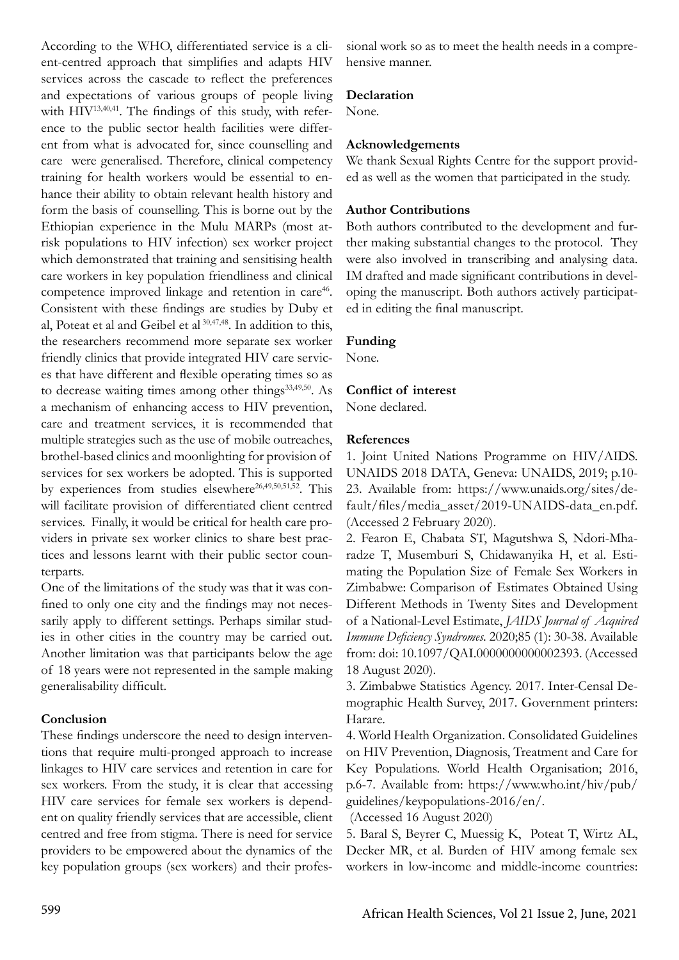According to the WHO, differentiated service is a client-centred approach that simplifies and adapts HIV services across the cascade to reflect the preferences and expectations of various groups of people living with  $HIV^{13,40,41}$ . The findings of this study, with reference to the public sector health facilities were different from what is advocated for, since counselling and care were generalised. Therefore, clinical competency training for health workers would be essential to enhance their ability to obtain relevant health history and form the basis of counselling. This is borne out by the Ethiopian experience in the Mulu MARPs (most atrisk populations to HIV infection) sex worker project which demonstrated that training and sensitising health care workers in key population friendliness and clinical competence improved linkage and retention in care<sup>46</sup>. Consistent with these findings are studies by Duby et al, Poteat et al and Geibel et al 30,47,48. In addition to this, the researchers recommend more separate sex worker friendly clinics that provide integrated HIV care services that have different and flexible operating times so as to decrease waiting times among other things<sup>33,49,50</sup>. As a mechanism of enhancing access to HIV prevention, care and treatment services, it is recommended that multiple strategies such as the use of mobile outreaches, brothel-based clinics and moonlighting for provision of services for sex workers be adopted. This is supported by experiences from studies elsewhere<sup>26,49,50,51,52</sup>. This will facilitate provision of differentiated client centred services. Finally, it would be critical for health care providers in private sex worker clinics to share best practices and lessons learnt with their public sector counterparts.

One of the limitations of the study was that it was confined to only one city and the findings may not necessarily apply to different settings. Perhaps similar studies in other cities in the country may be carried out. Another limitation was that participants below the age of 18 years were not represented in the sample making generalisability difficult.

# **Conclusion**

These findings underscore the need to design interventions that require multi-pronged approach to increase linkages to HIV care services and retention in care for sex workers. From the study, it is clear that accessing HIV care services for female sex workers is dependent on quality friendly services that are accessible, client centred and free from stigma. There is need for service providers to be empowered about the dynamics of the key population groups (sex workers) and their professional work so as to meet the health needs in a comprehensive manner.

## **Declaration**

None.

## **Acknowledgements**

We thank Sexual Rights Centre for the support provided as well as the women that participated in the study.

## **Author Contributions**

Both authors contributed to the development and further making substantial changes to the protocol. They were also involved in transcribing and analysing data. IM drafted and made significant contributions in developing the manuscript. Both authors actively participated in editing the final manuscript.

## **Funding**

None.

## **Conflict of interest**

None declared.

### **References**

1. Joint United Nations Programme on HIV/AIDS. UNAIDS 2018 DATA, Geneva: UNAIDS, 2019; p.10- 23. Available from: https://www.unaids.org/sites/default/files/media\_asset/2019-UNAIDS-data\_en.pdf. (Accessed 2 February 2020).

2. Fearon E, Chabata ST, Magutshwa S, Ndori-Mharadze T, Musemburi S, Chidawanyika H, et al. Estimating the Population Size of Female Sex Workers in Zimbabwe: Comparison of Estimates Obtained Using Different Methods in Twenty Sites and Development of a National-Level Estimate, *JAIDS Journal of Acquired Immune Deficiency Syndromes*. 2020;85 (1): 30-38. Available from: doi: 10.1097/QAI.0000000000002393. (Accessed 18 August 2020).

3. Zimbabwe Statistics Agency. 2017. Inter-Censal Demographic Health Survey, 2017. Government printers: Harare.

4. World Health Organization. Consolidated Guidelines on HIV Prevention, Diagnosis, Treatment and Care for Key Populations. World Health Organisation; 2016, p.6-7. Available from: https://www.who.int/hiv/pub/ guidelines/keypopulations-2016/en/.

(Accessed 16 August 2020)

5. Baral S, Beyrer C, Muessig K, Poteat T, Wirtz AL, Decker MR, et al. Burden of HIV among female sex workers in low-income and middle-income countries: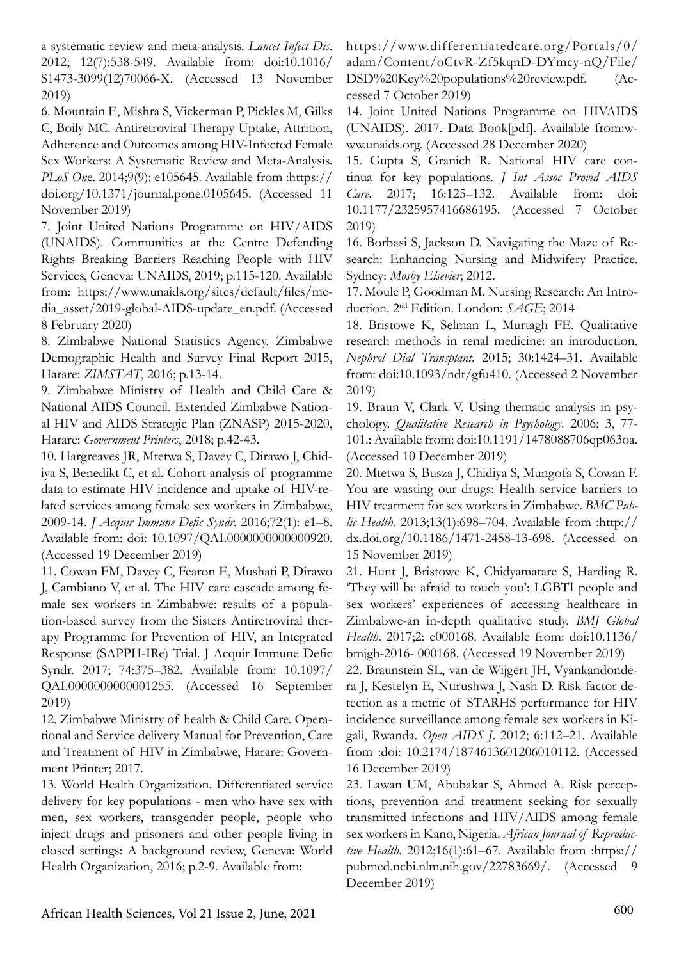a systematic review and meta-analysis. *Lancet Infect Dis*. 2012; 12(7):538-549. Available from: doi:10.1016/ S1473-3099(12)70066-X. (Accessed 13 November 2019)

6. Mountain E, Mishra S, Vickerman P, Pickles M, Gilks C, Boily MC. Antiretroviral Therapy Uptake, Attrition, Adherence and Outcomes among HIV-Infected Female Sex Workers: A Systematic Review and Meta-Analysis. *PLoS On*e. 2014;9(9): e105645. Available from :https:// doi.org/10.1371/journal.pone.0105645. (Accessed 11 November 2019)

7. Joint United Nations Programme on HIV/AIDS (UNAIDS). Communities at the Centre Defending Rights Breaking Barriers Reaching People with HIV Services, Geneva: UNAIDS, 2019; p.115-120. Available from: https://www.unaids.org/sites/default/files/media\_asset/2019-global-AIDS-update\_en.pdf. (Accessed 8 February 2020)

8. Zimbabwe National Statistics Agency. Zimbabwe Demographic Health and Survey Final Report 2015, Harare: *ZIMSTAT*, 2016; p.13-14.

9. Zimbabwe Ministry of Health and Child Care & National AIDS Council. Extended Zimbabwe National HIV and AIDS Strategic Plan (ZNASP) 2015-2020, Harare: *Government Printers*, 2018; p.42-43.

10. Hargreaves JR, Mtetwa S, Davey C, Dirawo J, Chidiya S, Benedikt C, et al. Cohort analysis of programme data to estimate HIV incidence and uptake of HIV-related services among female sex workers in Zimbabwe, 2009-14. *J Acquir Immune Defic Syndr*. 2016;72(1): e1–8. Available from: doi: 10.1097/QAI.0000000000000920. (Accessed 19 December 2019)

11. Cowan FM, Davey C, Fearon E, Mushati P, Dirawo J, Cambiano V, et al. The HIV care cascade among female sex workers in Zimbabwe: results of a population-based survey from the Sisters Antiretroviral therapy Programme for Prevention of HIV, an Integrated Response (SAPPH-IRe) Trial. J Acquir Immune Defic Syndr. 2017; 74:375–382. Available from: 10.1097/ QAI.0000000000001255. (Accessed 16 September 2019)

12. Zimbabwe Ministry of health & Child Care. Operational and Service delivery Manual for Prevention, Care and Treatment of HIV in Zimbabwe, Harare: Government Printer; 2017.

13. World Health Organization. Differentiated service delivery for key populations - men who have sex with men, sex workers, transgender people, people who inject drugs and prisoners and other people living in closed settings: A background review, Geneva: World Health Organization, 2016; p.2-9. Available from:

https://www.differentiatedcare.org/Portals/0/ adam/Content/oCtvR-Zf5kqnD-DYmcy-nQ/File/ DSD%20Key%20populations%20review.pdf. (Accessed 7 October 2019)

14. Joint United Nations Programme on HIVAIDS (UNAIDS). 2017. Data Book[pdf]. Available from:www.unaids.org. (Accessed 28 December 2020)

15. Gupta S, Granich R. National HIV care continua for key populations. *J Int Assoc Provid AIDS Care*. 2017; 16:125–132. Available from: doi: 10.1177/2325957416686195. (Accessed 7 October 2019)

16. Borbasi S, Jackson D. Navigating the Maze of Research: Enhancing Nursing and Midwifery Practice. Sydney: *Mosby Elsevier*; 2012.

17. Moule P, Goodman M. Nursing Research: An Introduction. 2nd Edition. London: *SAGE*; 2014

18. Bristowe K, Selman L, Murtagh FE. Qualitative research methods in renal medicine: an introduction. *Nephrol Dial Transplant*. 2015; 30:1424–31. Available from: doi:10.1093/ndt/gfu410. (Accessed 2 November 2019)

19. Braun V, Clark V. Using thematic analysis in psychology. *Qualitative Research in Psychology*. 2006; 3, 77- 101.: Available from: doi:10.1191/1478088706qp063oa. (Accessed 10 December 2019)

20. Mtetwa S, Busza J, Chidiya S, Mungofa S, Cowan F. You are wasting our drugs: Health service barriers to HIV treatment for sex workers in Zimbabwe. *BMC Public Health*. 2013;13(1):698–704. Available from :http:// dx.doi.org/10.1186/1471-2458-13-698. (Accessed on 15 November 2019)

21. Hunt J, Bristowe K, Chidyamatare S, Harding R. 'They will be afraid to touch you': LGBTI people and sex workers' experiences of accessing healthcare in Zimbabwe-an in-depth qualitative study. *BMJ Global Health*. 2017;2: e000168. Available from: doi:10.1136/ bmjgh-2016- 000168. (Accessed 19 November 2019)

22. Braunstein SL, van de Wijgert JH, Vyankandondera J, Kestelyn E, Ntirushwa J, Nash D. Risk factor detection as a metric of STARHS performance for HIV incidence surveillance among female sex workers in Kigali, Rwanda. *Open AIDS J*. 2012; 6:112–21. Available from :doi: 10.2174/1874613601206010112. (Accessed 16 December 2019)

23. Lawan UM, Abubakar S, Ahmed A. Risk perceptions, prevention and treatment seeking for sexually transmitted infections and HIV/AIDS among female sex workers in Kano, Nigeria. *African Journal of Reproductive Health*. 2012;16(1):61–67. Available from :https:// pubmed.ncbi.nlm.nih.gov/22783669/. (Accessed 9 December 2019)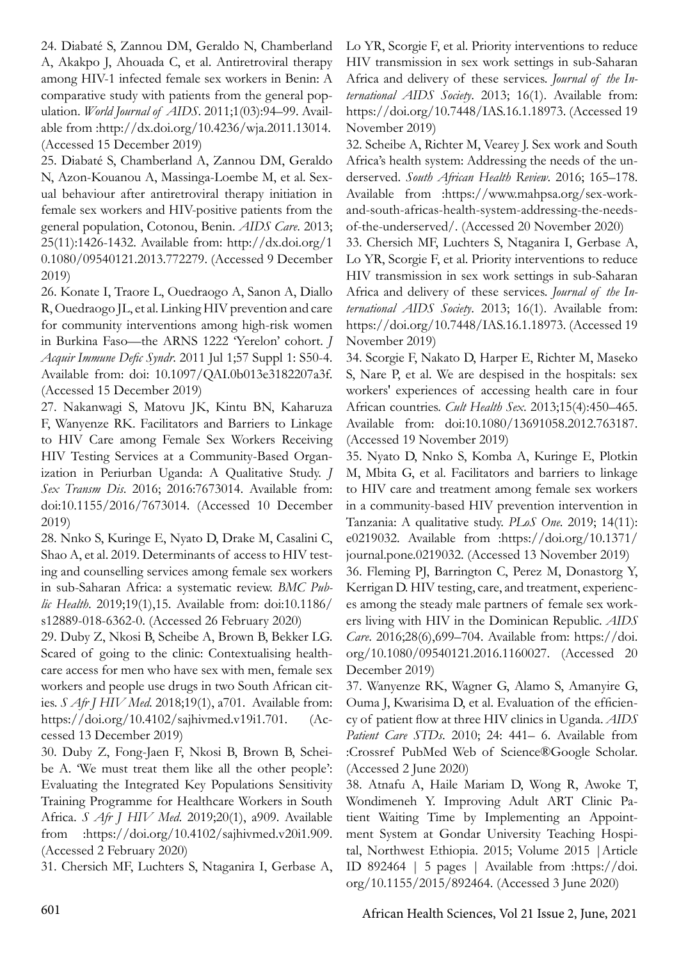24. Diabaté S, Zannou DM, Geraldo N, Chamberland A, Akakpo J, Ahouada C, et al. Antiretroviral therapy among HIV-1 infected female sex workers in Benin: A comparative study with patients from the general population. *World Journal of AIDS*. 2011;1(03):94–99. Available from :http://dx.doi.org/10.4236/wja.2011.13014. (Accessed 15 December 2019)

25. Diabaté S, Chamberland A, Zannou DM, Geraldo N, Azon-Kouanou A, Massinga-Loembe M, et al. Sexual behaviour after antiretroviral therapy initiation in female sex workers and HIV-positive patients from the general population, Cotonou, Benin. *AIDS Care*. 2013; 25(11):1426-1432. Available from: http://dx.doi.org/1 0.1080/09540121.2013.772279. (Accessed 9 December 2019)

26. Konate I, Traore L, Ouedraogo A, Sanon A, Diallo R, Ouedraogo JL, et al. Linking HIV prevention and care for community interventions among high-risk women in Burkina Faso—the ARNS 1222 'Yerelon' cohort. *J Acquir Immune Defic Syndr*. 2011 Jul 1;57 Suppl 1: S50-4. Available from: doi: 10.1097/QAI.0b013e3182207a3f. (Accessed 15 December 2019)

27. Nakanwagi S, Matovu JK, Kintu BN, Kaharuza F, Wanyenze RK. Facilitators and Barriers to Linkage to HIV Care among Female Sex Workers Receiving HIV Testing Services at a Community-Based Organization in Periurban Uganda: A Qualitative Study. *J Sex Transm Dis*. 2016; 2016:7673014. Available from: doi:10.1155/2016/7673014. (Accessed 10 December 2019)

28. Nnko S, Kuringe E, Nyato D, Drake M, Casalini C, Shao A, et al. 2019. Determinants of access to HIV testing and counselling services among female sex workers in sub-Saharan Africa: a systematic review. *BMC Public Health*. 2019;19(1),15. Available from: doi:10.1186/ s12889-018-6362-0. (Accessed 26 February 2020)

29. Duby Z, Nkosi B, Scheibe A, Brown B, Bekker LG. Scared of going to the clinic: Contextualising healthcare access for men who have sex with men, female sex workers and people use drugs in two South African cities. *S Afr J HIV Med*. 2018;19(1), a701. Available from: https://doi.org/10.4102/sajhivmed.v19i1.701. (Accessed 13 December 2019)

30. Duby Z, Fong-Jaen F, Nkosi B, Brown B, Scheibe A. 'We must treat them like all the other people': Evaluating the Integrated Key Populations Sensitivity Training Programme for Healthcare Workers in South Africa. *S Afr J HIV Med*. 2019;20(1), a909. Available from :https://doi.org/10.4102/sajhivmed.v20i1.909. (Accessed 2 February 2020)

31. Chersich MF, Luchters S, Ntaganira I, Gerbase A,

Lo YR, Scorgie F, et al. Priority interventions to reduce HIV transmission in sex work settings in sub-Saharan Africa and delivery of these services. *Journal of the International AIDS Society*. 2013; 16(1). Available from: https://doi.org/10.7448/IAS.16.1.18973. (Accessed 19 November 2019)

32. Scheibe A, Richter M, Vearey J. Sex work and South Africa's health system: Addressing the needs of the underserved. *South African Health Review*. 2016; 165–178. Available from :https://www.mahpsa.org/sex-workand-south-africas-health-system-addressing-the-needsof-the-underserved/. (Accessed 20 November 2020)

33. Chersich MF, Luchters S, Ntaganira I, Gerbase A, Lo YR, Scorgie F, et al. Priority interventions to reduce HIV transmission in sex work settings in sub-Saharan Africa and delivery of these services. *Journal of the International AIDS Society*. 2013; 16(1). Available from: https://doi.org/10.7448/IAS.16.1.18973. (Accessed 19 November 2019)

34. Scorgie F, Nakato D, Harper E, Richter M, Maseko S, Nare P, et al. We are despised in the hospitals: sex workers' experiences of accessing health care in four African countries. *Cult Health Sex*. 2013;15(4):450–465. Available from: doi:10.1080/13691058.2012.763187. (Accessed 19 November 2019)

35. Nyato D, Nnko S, Komba A, Kuringe E, Plotkin M, Mbita G, et al. Facilitators and barriers to linkage to HIV care and treatment among female sex workers in a community-based HIV prevention intervention in Tanzania: A qualitative study. *PLoS One*. 2019; 14(11): e0219032. Available from :https://doi.org/10.1371/ journal.pone.0219032. (Accessed 13 November 2019) 36. Fleming PJ, Barrington C, Perez M, Donastorg Y, Kerrigan D. HIV testing, care, and treatment, experiences among the steady male partners of female sex workers living with HIV in the Dominican Republic. *AIDS Care*. 2016;28(6),699–704. Available from: https://doi. org/10.1080/09540121.2016.1160027. (Accessed 20 December 2019)

37. Wanyenze RK, Wagner G, Alamo S, Amanyire G, Ouma J, Kwarisima D, et al. Evaluation of the efficiency of patient flow at three HIV clinics in Uganda. *AIDS Patient Care STDs*. 2010; 24: 441– 6. Available from :Crossref PubMed Web of Science®Google Scholar. (Accessed 2 June 2020)

38. Atnafu A, Haile Mariam D, Wong R, Awoke T, Wondimeneh Y. Improving Adult ART Clinic Patient Waiting Time by Implementing an Appointment System at Gondar University Teaching Hospital, Northwest Ethiopia. 2015; Volume 2015 |Article ID 892464 | 5 pages | Available from :https://doi. org/10.1155/2015/892464. (Accessed 3 June 2020)

601 African Health Sciences, Vol 21 Issue 2, June, 2021